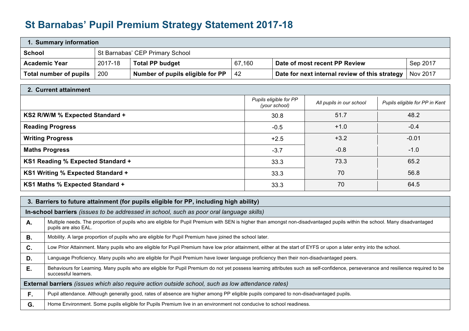## **St Barnabas' Pupil Premium Strategy Statement 2017-18**

| 1. Summary information                                                                                |         |                                                                               |    |                                                            |  |  |  |
|-------------------------------------------------------------------------------------------------------|---------|-------------------------------------------------------------------------------|----|------------------------------------------------------------|--|--|--|
| <b>School</b><br>St Barnabas' CEP Primary School                                                      |         |                                                                               |    |                                                            |  |  |  |
| <b>Academic Year</b>                                                                                  | 2017-18 | <b>Total PP budget</b><br>67,160<br>Date of most recent PP Review<br>Sep 2017 |    |                                                            |  |  |  |
| Total number of pupils                                                                                | 200     | Number of pupils eligible for PP                                              | 42 | Date for next internal review of this strategy<br>Nov 2017 |  |  |  |
| 2. Current attainment                                                                                 |         |                                                                               |    |                                                            |  |  |  |
| Pupils eligible for PP<br>All pupils in our school<br>Pupils eligible for PP in Kent<br>(your school) |         |                                                                               |    |                                                            |  |  |  |
| KS2 R/W/M % Expected Standard +<br>51.7<br>48.2<br>30.8                                               |         |                                                                               |    |                                                            |  |  |  |

| <b>Reading Progress</b>           | $-0.5$ | $+1.0$ | $-0.4$  |
|-----------------------------------|--------|--------|---------|
| <b>Writing Progress</b>           | $+2.5$ | $+3.2$ | $-0.01$ |
| <b>Maths Progress</b>             | $-3.7$ | $-0.8$ | $-1.0$  |
| KS1 Reading % Expected Standard + | 33.3   | 73.3   | 65.2    |
| KS1 Writing % Expected Standard + | 33.3   | 70     | 56.8    |
| KS1 Maths % Expected Standard +   | 33.3   | 70     | 64.5    |

|    | 3. Barriers to future attainment (for pupils eligible for PP, including high ability)                                                                                                                      |  |  |  |  |  |
|----|------------------------------------------------------------------------------------------------------------------------------------------------------------------------------------------------------------|--|--|--|--|--|
|    | In-school barriers (issues to be addressed in school, such as poor oral language skills)                                                                                                                   |  |  |  |  |  |
| А. | Multiple needs. The proportion of pupils who are eligible for Pupil Premium with SEN is higher than amongst non-disadvantaged pupils within the school. Many disadvantaged<br>pupils are also EAL.         |  |  |  |  |  |
| В. | Mobility. A large proportion of pupils who are eligible for Pupil Premium have joined the school later.                                                                                                    |  |  |  |  |  |
| C. | Low Prior Attainment. Many pupils who are eligible for Pupil Premium have low prior attainment, either at the start of EYFS or upon a later entry into the school.                                         |  |  |  |  |  |
| D. | Language Proficiency. Many pupils who are eligible for Pupil Premium have lower language proficiency then their non-disadvantaged peers.                                                                   |  |  |  |  |  |
| Е. | Behaviours for Learning. Many pupils who are eligible for Pupil Premium do not yet possess learning attributes such as self-confidence, perseverance and resilience required to be<br>successful learners. |  |  |  |  |  |
|    | External barriers (issues which also require action outside school, such as low attendance rates)                                                                                                          |  |  |  |  |  |
| F. | Pupil attendance. Although generally good, rates of absence are higher among PP eligible pupils compared to non-disadvantaged pupils.                                                                      |  |  |  |  |  |
| G. | Home Environment. Some pupils eligible for Pupils Premium live in an environment not conducive to school readiness.                                                                                        |  |  |  |  |  |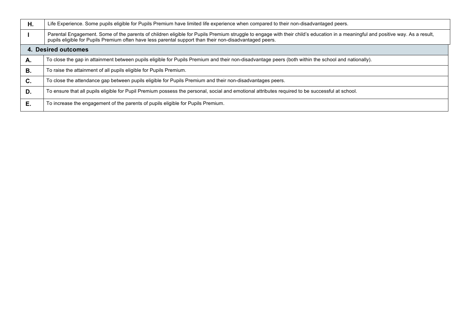| Η. | Life Experience. Some pupils eligible for Pupils Premium have limited life experience when compared to their non-disadvantaged peers.                                                                                                                                                      |
|----|--------------------------------------------------------------------------------------------------------------------------------------------------------------------------------------------------------------------------------------------------------------------------------------------|
|    | Parental Engagement. Some of the parents of children eligible for Pupils Premium struggle to engage with their child's education in a meaningful and positive way. As a result,<br>pupils eligible for Pupils Premium often have less parental support than their non-disadvantaged peers. |
|    | 4. Desired outcomes                                                                                                                                                                                                                                                                        |
| Α. | To close the gap in attainment between pupils eligible for Pupils Premium and their non-disadvantage peers (both within the school and nationally).                                                                                                                                        |
| В. | To raise the attainment of all pupils eligible for Pupils Premium.                                                                                                                                                                                                                         |
| C. | To close the attendance gap between pupils eligible for Pupils Premium and their non-disadvantages peers.                                                                                                                                                                                  |
| D. | To ensure that all pupils eligible for Pupil Premium possess the personal, social and emotional attributes required to be successful at school.                                                                                                                                            |
| Е. | To increase the engagement of the parents of pupils eligible for Pupils Premium.                                                                                                                                                                                                           |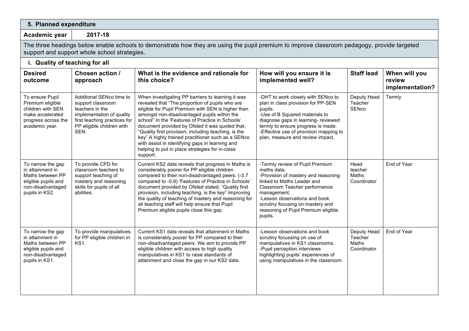## **5. Planned expenditure**

**Academic year 2017-18**

The three headings below enable schools to demonstrate how they are using the pupil premium to improve classroom pedagogy, provide targeted support and support whole school strategies.

| i. Quality of teaching for all |                                 |                          |  |  |  |
|--------------------------------|---------------------------------|--------------------------|--|--|--|
| <b>Docirod</b>                 | $\Gamma$ Chosan action $\Gamma$ | $\frac{1}{2}$ M/hot is t |  |  |  |

| <b>Desired</b><br>outcome                                                                                               | Chosen action /<br>approach                                                                                                                                        | What is the evidence and rationale for<br>this choice?                                                                                                                                                                                                                                                                                                                                                                                                                                                                                           | How will you ensure it is<br>implemented well?                                                                                                                                                                                                                                             | <b>Staff lead</b>                              | When will you<br>review<br>implementation? |
|-------------------------------------------------------------------------------------------------------------------------|--------------------------------------------------------------------------------------------------------------------------------------------------------------------|--------------------------------------------------------------------------------------------------------------------------------------------------------------------------------------------------------------------------------------------------------------------------------------------------------------------------------------------------------------------------------------------------------------------------------------------------------------------------------------------------------------------------------------------------|--------------------------------------------------------------------------------------------------------------------------------------------------------------------------------------------------------------------------------------------------------------------------------------------|------------------------------------------------|--------------------------------------------|
| To ensure Pupil<br>Premium eligible<br>children with SEN<br>make accelerated<br>progress across the<br>academic year.   | Additional SENco time to<br>support classroom<br>teachers in the<br>implementation of quality<br>first teaching practices for<br>PP eligible children with<br>SEN. | When investigating PP barriers to learning it was<br>revealed that "The proportion of pupils who are<br>eligible for Pupil Premium with SEN is higher than<br>amongst non-disadvantaged pupils within the<br>school" In the 'Features of Practice in Schools'<br>document provided by Ofsted it was quoted that,<br>"Quality first provision, including teaching, is the<br>key" A highly trained practitioner such as a SENco<br>with assist in identifying gaps in learning and<br>helping to put in place strategies for in-class<br>support. | -DHT to work closely with SENco to<br>plan in class provision for PP-SEN<br>pupils.<br>-Use of B Squared materials to<br>diagnose gaps in learning- reviewed<br>termly to ensure progress is made.<br>-Effective use of provision mapping to<br>plan, measure and review impact.           | Deputy Head<br>Teacher<br>SENco                | Termly                                     |
| To narrow the gap<br>in attainment in<br>Maths between PP<br>eligible pupils and<br>non-disadvantaged<br>pupils in KS2. | To provide CPD for<br>classroom teachers to<br>support teaching of<br>mastery and reasoning<br>skills for pupils of all<br>abilities.                              | Current KS2 data reveals that progress in Maths is<br>considerably poorer for PP eligible children<br>compared to their non-disadvantaged peers. (-3.7)<br>compared to -0.8) 'Features of Practice in Schools'<br>document provided by Ofsted stated, "Quality first<br>provision, including teaching, is the key" Improving<br>the quality of teaching of mastery and reasoning for<br>all teaching staff will help ensure that Pupil<br>Premium eligible pupils close this gap.                                                                | -Termly review of Pupil Premium<br>maths data.<br>-Provision of mastery and reasoning<br>linked to Maths Leader and<br>Classroom Teacher performance<br>management.<br>-Lesson observations and book<br>scrutiny focusing on mastery and<br>reasoning of Pupil Premium eligible<br>pupils. | Head<br>teacher<br>Maths<br>Coordinator        | End of Year                                |
| To narrow the gap<br>in attainment in<br>Maths between PP<br>eligible pupils and<br>non-disadvantaged<br>pupils in KS1. | To provide manipulatives<br>for PP eligible children in<br>KS1.                                                                                                    | Current KS1 data reveals that attainment in Maths<br>is considerably poorer for PP compared to their<br>non-disadvantaged peers. We aim to provide PP<br>eligible children with access to high quality<br>manipulatives in KS1 to raise standards of<br>attainment and close the gap in our KS2 data.                                                                                                                                                                                                                                            | -Lesson observations and book<br>scrutiny focussing on use of<br>manipulatives in KS1 classrooms.<br>-Pupil perception interviews<br>highlighting pupils' experiences of<br>using manipulatives in the classroom.                                                                          | Deputy Head<br>Teacher<br>Maths<br>Coordinator | End of Year                                |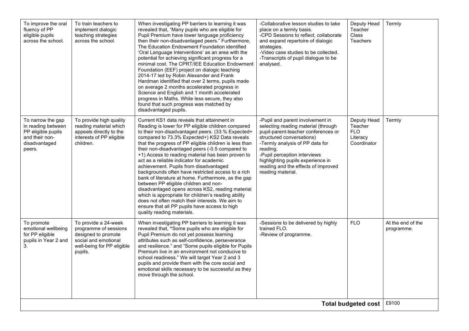| To improve the oral<br>fluency of PP<br>eligible pupils<br>across the school.                              | To train teachers to<br>implement dialogic<br>teaching strategies<br>across the school.                                               | When investigating PP barriers to learning it was<br>revealed that, "Many pupils who are eligible for<br>Pupil Premium have lower language proficiency<br>then their non-disadvantaged peers." Furthermore,<br>The Education Endowment Foundation identified<br>'Oral Language Interventions' as an area with the<br>potential for achieving significant progress for a<br>minimal cost. The CPRT/IEE Education Endowment<br>Foundation (EEF) project on dialogic teaching<br>2014-17 led by Robin Alexander and Frank<br>Hardman identified that over 2 terms, pupils made<br>on average 2 months accelerated progress in<br>Science and English and 1 month accelerated<br>progress in Maths. While less secure, they also<br>found that such progress was matched by<br>disadvantaged pupils.                                                                   | -Collaborative lesson studies to take<br>place on a termly basis.<br>-CPD Sessions to reflect, collaborate<br>and expand repertoire of dialogic<br>strategies.<br>-Video case studies to be collected.<br>-Transcripts of pupil dialogue to be<br>analysed.                                                                 | Deputy Head<br>Teacher<br>Class<br><b>Teachers</b>              | Termly                          |
|------------------------------------------------------------------------------------------------------------|---------------------------------------------------------------------------------------------------------------------------------------|--------------------------------------------------------------------------------------------------------------------------------------------------------------------------------------------------------------------------------------------------------------------------------------------------------------------------------------------------------------------------------------------------------------------------------------------------------------------------------------------------------------------------------------------------------------------------------------------------------------------------------------------------------------------------------------------------------------------------------------------------------------------------------------------------------------------------------------------------------------------|-----------------------------------------------------------------------------------------------------------------------------------------------------------------------------------------------------------------------------------------------------------------------------------------------------------------------------|-----------------------------------------------------------------|---------------------------------|
| To narrow the gap<br>in reading between<br>PP eligible pupils<br>and their non-<br>disadvantaged<br>peers. | To provide high quality<br>reading material which<br>appeals directly to the<br>interests of PP eligible<br>children.                 | Current KS1 data reveals that attainment in<br>Reading is lower for PP eligible children compared<br>to their non-disadvantaged peers. (33.% Expected+<br>compared to 73.3% Expected+) KS2 Data reveals<br>that the progress of PP eligible children is less than<br>their non-disadvantaged peers (-0.5 compared to<br>+1) Access to reading material has been proven to<br>act as a reliable indicator for academic<br>achievement. Pupils from disadvantaged<br>backgrounds often have restricted access to a rich<br>bank of literature at home. Furthermore, as the gap<br>between PP eligible children and non-<br>disadvantaged opens across KS2, reading material<br>which is appropriate for children's reading ability<br>does not often match their interests. We aim to<br>ensure that all PP pupils have access to high<br>quality reading materials. | -Pupil and parent involvement in<br>selecting reading material (through<br>pupil-parent-teacher conferences or<br>structured conversations)<br>-Termly analysis of PP data for<br>reading.<br>-Pupil perception interviews<br>highlighting pupils experience in<br>reading and the effects of improved<br>reading material. | Deputy Head<br>Teacher<br><b>FLO</b><br>Literacy<br>Coordinator | Termly                          |
| To promote<br>emotional wellbeing<br>for PP eligible<br>pupils in Year 2 and<br>3.                         | To provide a 24-week<br>programme of sessions<br>designed to promote<br>social and emotional<br>well-being for PP eligible<br>pupils. | When investigating PP barriers to learning it was<br>revealed that, "Some pupils who are eligible for<br>Pupil Premium do not yet possess learning<br>attributes such as self-confidence, perseverance<br>and resilience." and "Some pupils eligible for Pupils<br>Premium live in an environment not conducive to<br>school readiness." We will target Year 2 and 3<br>pupils and provide them with the core social and<br>emotional skills necessary to be successful as they<br>move through the school.                                                                                                                                                                                                                                                                                                                                                        | -Sessions to be delivered by highly<br>trained FLO.<br>-Review of programme.                                                                                                                                                                                                                                                | <b>FLO</b>                                                      | At the end of the<br>programme. |
| <b>Total budgeted cost</b>                                                                                 |                                                                                                                                       |                                                                                                                                                                                                                                                                                                                                                                                                                                                                                                                                                                                                                                                                                                                                                                                                                                                                    |                                                                                                                                                                                                                                                                                                                             |                                                                 | £9100                           |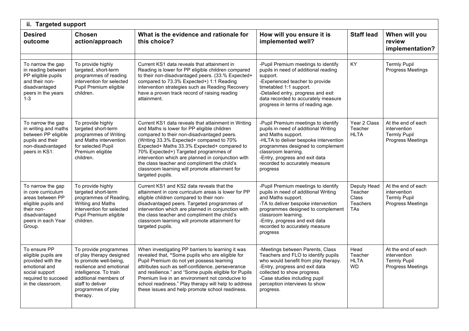| ii. Targeted support                                                                                                                              |                                                                                                                                                                                                                  |                                                                                                                                                                                                                                                                                                                                                                                                                                                                  |                                                                                                                                                                                                                                                                                        |                                                                  |                                                                                |  |  |
|---------------------------------------------------------------------------------------------------------------------------------------------------|------------------------------------------------------------------------------------------------------------------------------------------------------------------------------------------------------------------|------------------------------------------------------------------------------------------------------------------------------------------------------------------------------------------------------------------------------------------------------------------------------------------------------------------------------------------------------------------------------------------------------------------------------------------------------------------|----------------------------------------------------------------------------------------------------------------------------------------------------------------------------------------------------------------------------------------------------------------------------------------|------------------------------------------------------------------|--------------------------------------------------------------------------------|--|--|
| <b>Desired</b><br>outcome                                                                                                                         | <b>Chosen</b><br>action/approach                                                                                                                                                                                 | What is the evidence and rationale for<br>this choice?                                                                                                                                                                                                                                                                                                                                                                                                           | How will you ensure it is<br>implemented well?                                                                                                                                                                                                                                         | <b>Staff lead</b>                                                | When will you<br>review<br>implementation?                                     |  |  |
| To narrow the gap<br>in reading between<br>PP eligible pupils<br>and their non-<br>disadvantaged<br>peers in the years<br>$1 - 3$                 | To provide highly<br>targeted, short-term<br>programmes of reading<br>intervention for selected<br>Pupil Premium eligible<br>children.                                                                           | Current KS1 data reveals that attainment in<br>Reading is lower for PP eligible children compared<br>to their non-disadvantaged peers. (33.% Expected+<br>compared to 73.3% Expected+) 1:1 Reading<br>intervention strategies such as Reading Recovery<br>have a proven track record of raising reading<br>attainment.                                                                                                                                           | -Pupil Premium meetings to identify<br>pupils in need of additional reading<br>support.<br>-Experienced teacher to provide<br>timetabled 1:1 support.<br>-Detailed entry, progress and exit<br>data recorded to accurately measure<br>progress in terms of reading age.                | <b>KY</b>                                                        | <b>Termly Pupil</b><br>Progress Meetings                                       |  |  |
| To narrow the gap<br>in writing and maths<br>between PP eligible<br>pupils and their<br>non-disadvantaged<br>peers in KS1.                        | To provide highly<br>targeted short-term<br>programmes of Writing<br>and Maths intervention<br>for selected Pupil<br>Premium eligible<br>children.                                                               | Current KS1 data reveals that attainment in Writing<br>and Maths is lower for PP eligible children<br>compared to their non-disadvantaged peers.<br>(Writing 33.3% Expected+ compared to 70%<br>Expected+ Maths 33.3% Expected+ compared to<br>70% Expected+) Targeted programmes of<br>intervention which are planned in conjunction with<br>the class teacher and compliment the child's<br>classroom learning will promote attainment for<br>targeted pupils. | -Pupil Premium meetings to identify<br>pupils in need of additional Writing<br>and Maths support.<br>-HLTA to deliver bespoke intervention<br>programmes designed to complement<br>classroom learning.<br>-Entry, progress and exit data<br>recorded to accurately measure<br>progress | Year 2 Class<br>Teacher<br><b>HLTA</b>                           | At the end of each<br>intervention<br><b>Termly Pupil</b><br>Progress Meetings |  |  |
| To narrow the gap<br>in core curriculum<br>areas between PP<br>eligible pupils and<br>their non-<br>disadvantaged<br>peers in each Year<br>Group. | To provide highly<br>targeted short-term<br>programmes of Reading,<br>Writing and Maths<br>intervention for selected<br>Pupil Premium eligible<br>children.                                                      | Current KS1 and KS2 data reveals that the<br>attainment in core curriculum areas is lower for PP<br>eligible children compared to their non-<br>disadvantaged peers. Targeted programmes of<br>intervention which are planned in conjunction with<br>the class teacher and compliment the child's<br>classroom learning will promote attainment for<br>targeted pupils.                                                                                          | -Pupil Premium meetings to identify<br>pupils in need of additional Writing<br>and Maths support.<br>-TA to deliver bespoke intervention<br>programmes designed to complement<br>classroom learning.<br>-Entry, progress and exit data<br>recorded to accurately measure<br>progress   | Deputy Head<br>Teacher<br>Class<br><b>Teachers</b><br><b>TAs</b> | At the end of each<br>intervention<br><b>Termly Pupil</b><br>Progress Meetings |  |  |
| To ensure PP<br>eligible pupils are<br>provided with the<br>emotional and<br>social support<br>required to succeed<br>in the classroom.           | To provide programmes<br>of play therapy designed<br>to promote well-being.<br>resilience and emotional<br>intelligence. To train<br>additional members of<br>staff to deliver<br>programmes of play<br>therapy. | When investigating PP barriers to learning it was<br>revealed that, "Some pupils who are eligible for<br>Pupil Premium do not yet possess learning<br>attributes such as self-confidence, perseverance<br>and resilience." and "Some pupils eligible for Pupils<br>Premium live in an environment not conducive to<br>school readiness." Play therapy will help to address<br>these issues and help promote school readiness.                                    | -Meetings between Parents, Class<br>Teachers and FLO to identify pupils<br>who would benefit from play therapy.<br>-Entry, progress and exit data<br>collected to show progress.<br>-Case studies including pupil<br>perception interviews to show<br>progress.                        | Head<br>Teacher<br><b>HLTA</b><br><b>WD</b>                      | At the end of each<br>intervention<br><b>Termly Pupil</b><br>Progress Meetings |  |  |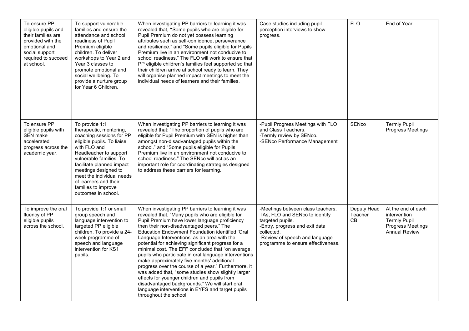| To ensure PP<br>eligible pupils and<br>their families are<br>provided with the<br>emotional and<br>social support<br>required to succeed<br>at school. | To support vulnerable<br>families and ensure the<br>attendance and school<br>readiness of Pupil<br>Premium eligible<br>children. To deliver<br>workshops to Year 2 and<br>Year 3 classes to<br>promote emotional and<br>social wellbeing. To<br>provide a nurture group<br>for Year 6 Children.                                   | When investigating PP barriers to learning it was<br>revealed that, "Some pupils who are eligible for<br>Pupil Premium do not yet possess learning<br>attributes such as self-confidence, perseverance<br>and resilience." and "Some pupils eligible for Pupils<br>Premium live in an environment not conducive to<br>school readiness." The FLO will work to ensure that<br>PP eligible children's families feel supported so that<br>their children arrive at school ready to learn. They<br>will organise planned impact meetings to meet the<br>individual needs of learners and their families.                                                                                                                                                                                                                 | Case studies including pupil<br>perception interviews to show<br>progress.                                                                                                                                      | <b>FLO</b>                   | End of Year                                                                                            |
|--------------------------------------------------------------------------------------------------------------------------------------------------------|-----------------------------------------------------------------------------------------------------------------------------------------------------------------------------------------------------------------------------------------------------------------------------------------------------------------------------------|----------------------------------------------------------------------------------------------------------------------------------------------------------------------------------------------------------------------------------------------------------------------------------------------------------------------------------------------------------------------------------------------------------------------------------------------------------------------------------------------------------------------------------------------------------------------------------------------------------------------------------------------------------------------------------------------------------------------------------------------------------------------------------------------------------------------|-----------------------------------------------------------------------------------------------------------------------------------------------------------------------------------------------------------------|------------------------------|--------------------------------------------------------------------------------------------------------|
| To ensure PP<br>eligible pupils with<br><b>SEN</b> make<br>accelerated<br>progress across the<br>academic year.                                        | To provide 1:1<br>therapeutic, mentoring,<br>coaching sessions for PP<br>eligible pupils. To liaise<br>with FLO and<br>Headteacher to support<br>vulnerable families. To<br>facilitate planned impact<br>meetings designed to<br>meet the individual needs<br>of learners and their<br>families to improve<br>outcomes in school. | When investigating PP barriers to learning it was<br>revealed that: "The proportion of pupils who are<br>eligible for Pupil Premium with SEN is higher than<br>amongst non-disadvantaged pupils within the<br>school." and "Some pupils eligible for Pupils<br>Premium live in an environment not conducive to<br>school readiness." The SENco will act as an<br>important role for coordinating strategies designed<br>to address these barriers for learning.                                                                                                                                                                                                                                                                                                                                                      | -Pupil Progress Meetings with FLO<br>and Class Teachers.<br>-Termly review by SENco.<br>-SENco Performance Management                                                                                           | SENco                        | <b>Termly Pupil</b><br>Progress Meetings                                                               |
| To improve the oral<br>fluency of PP<br>eligible pupils<br>across the school.                                                                          | To provide 1:1 or small<br>group speech and<br>language intervention to<br>targeted PP eligible<br>children. To provide a 24-<br>week programme of<br>speech and language<br>intervention for KS1<br>pupils.                                                                                                                      | When investigating PP barriers to learning it was<br>revealed that, "Many pupils who are eligible for<br>Pupil Premium have lower language proficiency<br>then their non-disadvantaged peers." The<br>Education Endowment Foundation identified 'Oral<br>Language Interventions' as an area with the<br>potential for achieving significant progress for a<br>minimal cost. The EFF concluded that "on average,<br>pupils who participate in oral language interventions<br>make approximately five months' additional<br>progress over the course of a year." Furthermore, it<br>was added that, "some studies show slightly larger<br>effects for younger children and pupils from<br>disadvantaged backgrounds." We will start oral<br>language interventions in EYFS and target pupils<br>throughout the school. | -Meetings between class teachers,<br>TAs, FLO and SENco to identify<br>targeted pupils.<br>-Entry, progress and exit data<br>collected.<br>-Review of speech and language<br>programme to ensure effectiveness. | Deputy Head<br>Teacher<br>CB | At the end of each<br>intervention<br><b>Termly Pupil</b><br>Progress Meetings<br><b>Annual Review</b> |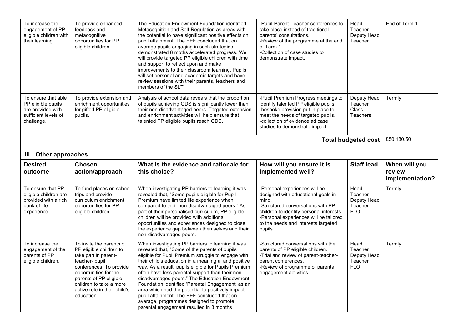| To increase the<br>engagement of PP<br>eligible children with<br>their learning.                     | To provide enhanced<br>feedback and<br>metacognitive<br>opportunities for PP<br>eligible children. | The Education Endowment Foundation identified<br>Metacognition and Self-Regulation as areas with<br>the potential to have significant positive effects on<br>pupil attainment. The EEF concluded that on<br>average pupils engaging in such strategies<br>demonstrated 8 moths accelerated progress. We<br>will provide targeted PP eligible children with time<br>and support to reflect upon and make<br>improvements to their classroom learning. Pupils<br>will set personal and academic targets and have<br>review sessions with their parents, teachers and<br>members of the SLT. | -Pupil-Parent-Teacher conferences to<br>take place instead of traditional<br>parents' consultations.<br>-Review of the programme at the end<br>of Term 1.<br>-Collection of case studies to<br>demonstrate impact.            | Head<br>Teacher<br>Deputy Head<br>Teacher          | End of Term 1                              |
|------------------------------------------------------------------------------------------------------|----------------------------------------------------------------------------------------------------|-------------------------------------------------------------------------------------------------------------------------------------------------------------------------------------------------------------------------------------------------------------------------------------------------------------------------------------------------------------------------------------------------------------------------------------------------------------------------------------------------------------------------------------------------------------------------------------------|-------------------------------------------------------------------------------------------------------------------------------------------------------------------------------------------------------------------------------|----------------------------------------------------|--------------------------------------------|
| To ensure that able<br>PP eligible pupils<br>are provided with<br>sufficient levels of<br>challenge. | To provide extension and<br>enrichment opportunities<br>for gifted PP eligible<br>pupils.          | Analysis of school data reveals that the proportion<br>of pupils achieving GDS is significantly lower than<br>their non-disadvantaged peers. Targeted extension<br>and enrichment activities will help ensure that<br>talented PP eligible pupils reach GDS.                                                                                                                                                                                                                                                                                                                              | -Pupil Premium Progress meetings to<br>identify talented PP eligible pupils.<br>-bespoke provision put in place to<br>meet the needs of targeted pupils.<br>-collection of evidence ad case<br>studies to demonstrate impact. | Deputy Head<br>Teacher<br>Class<br><b>Teachers</b> | Termly                                     |
| Total budgeted cost                                                                                  |                                                                                                    |                                                                                                                                                                                                                                                                                                                                                                                                                                                                                                                                                                                           |                                                                                                                                                                                                                               |                                                    |                                            |
| iii. Other approaches                                                                                |                                                                                                    |                                                                                                                                                                                                                                                                                                                                                                                                                                                                                                                                                                                           |                                                                                                                                                                                                                               |                                                    |                                            |
| <b>Desired</b><br>outcome                                                                            | <b>Chosen</b><br>action/approach                                                                   | What is the evidence and rationale for<br>this choice?                                                                                                                                                                                                                                                                                                                                                                                                                                                                                                                                    | How will you ensure it is<br>implemented well?                                                                                                                                                                                | <b>Staff lead</b>                                  | When will you<br>review<br>implementation? |
| To ensure that PP<br>eligible children are<br>provided with a rich<br>bank of life                   | To fund places on school<br>trips and provide<br>curriculum enrichment                             | When investigating PP barriers to learning it was<br>revealed that, "Some pupils eligible for Pupil                                                                                                                                                                                                                                                                                                                                                                                                                                                                                       | -Personal experiences will be<br>designed with educational goals in                                                                                                                                                           | Head<br>Teacher                                    | Termly                                     |
| experience.                                                                                          | opportunities for PP<br>eligible children.                                                         | Premium have limited life experience when<br>compared to their non-disadvantaged peers." As<br>part of their personalised curriculum, PP eligible<br>children will be provided with additional<br>opportunities and experiences designed to close<br>the experience gap between themselves and their<br>non-disadvantaged peers.                                                                                                                                                                                                                                                          | mind.<br>-Structured conversations with PP<br>children to identify personal interests.<br>-Personal experiences will be tailored<br>to the needs and interests targeted<br>pupils.                                            | Deputy Head<br>Teacher<br><b>FLO</b>               |                                            |